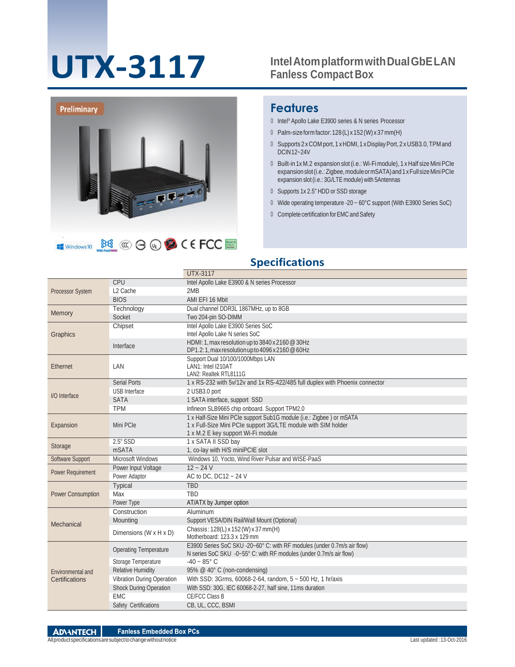# **UTX-3117**

#### **IntelAtomplatformwithDualGbELAN Fanless Compact Box**



#### **Features**

- Intel® Apollo Lake E3900 series & N series Processor
- Palm-sizeformfactor:128(L) x 152(W) x 37mm(H)
- Supports 2 xCOM port, 1 xHDMI,1 xDisplayPort, 2 xUSB3.0,TPMand DCIN12~24V
- Built-in 1x M.2 expansion slot (i.e.: Wi-Fi module), 1 x Half size Mini PCIe expansion slot (i.e.: Zigbee, module or mSATA) and 1 x Full size Mini PCIe expansion slot (i.e.: 3G/LTE module) with 5Antennas
- Supports 1x 2.5" HDD or SSD storage
- Wide operating temperature -20 ~ 60°C support (With E3900 Series SoC)
- Complete certification for EMC and Safety

#### **Specifications**

|                                     |                                             | <b>UTX-3117</b>                                                                               |
|-------------------------------------|---------------------------------------------|-----------------------------------------------------------------------------------------------|
|                                     | CPU                                         | Intel Apollo Lake E3900 & N series Processor                                                  |
| <b>Processor System</b>             | L <sub>2</sub> Cache                        | 2MB                                                                                           |
|                                     | <b>BIOS</b>                                 | AMI EFI 16 Mbit                                                                               |
| Memory                              | Technology                                  | Dual channel DDR3L 1867MHz, up to 8GB                                                         |
|                                     | Socket                                      | Two 204-pin SO-DIMM                                                                           |
| Graphics                            | Chipset                                     | Intel Apollo Lake E3900 Series SoC                                                            |
|                                     |                                             | Intel Apollo Lake N series SoC                                                                |
|                                     | Interface                                   | HDMI: 1, max resolution up to 3840 x 2160 @ 30Hz                                              |
|                                     |                                             | DP1.2:1, max resolution up to 4096 x 2160 @ 60Hz                                              |
| Ethernet                            | LAN                                         | Support Dual 10/100/1000Mbps LAN<br>LAN1: Intel I210AT                                        |
|                                     |                                             | LAN2: Realtek RTL8111G                                                                        |
|                                     | <b>Serial Ports</b>                         | 1 x RS-232 with 5v/12v and 1x RS-422/485 full duplex with Phoenix connector                   |
|                                     | <b>USB</b> Interface                        | 2 USB3.0 port                                                                                 |
| I/O Interface                       | <b>SATA</b>                                 | 1 SATA interface, support SSD                                                                 |
|                                     | <b>TPM</b>                                  | Infineon SLB9665 chip onboard. Support TPM2.0                                                 |
| Expansion                           | Mini PCIe                                   | 1 x Half-Size Mini PCIe support Sub1G module (i.e.: Zigbee) or mSATA                          |
|                                     |                                             | 1 x Full-Size Mini PCIe support 3G/LTE module with SIM holder                                 |
|                                     |                                             | 1 x M.2 E key support Wi-Fi module                                                            |
|                                     | 2.5" SSD                                    | 1 x SATA II SSD bay                                                                           |
| Storage                             | <b>mSATA</b>                                | 1, co-lay with H/S miniPCIE slot                                                              |
| Software Support                    | Microsoft Windows                           | Windows 10, Yocto, Wind River Pulsar and WISE-PaaS                                            |
| Power Requirement                   | Power Input Voltage                         | $12 - 24V$                                                                                    |
|                                     | Power Adaptor                               | AC to DC, DC12 ~ 24 V                                                                         |
|                                     | Typical                                     | <b>TBD</b>                                                                                    |
| <b>Power Consumption</b>            | Max                                         | <b>TBD</b>                                                                                    |
|                                     | Power Type                                  | AT/ATX by Jumper option                                                                       |
| Mechanical                          | Construction                                | Aluminum                                                                                      |
|                                     | Mounting                                    | Support VESA/DIN Rail/Wall Mount (Optional)                                                   |
|                                     | Dimensions (W x H x D)                      | Chassis: 128(L) x 152 (W) x 37 mm (H)                                                         |
|                                     |                                             | Motherboard: 123.3 x 129 mm                                                                   |
| Environmental and<br>Certifications | <b>Operating Temperature</b>                | E3900 Series SoC SKU -20~60° C: with RF modules (under 0.7m/s air flow)                       |
|                                     |                                             | N series SoC SKU -0~55° C: with RF modules (under 0.7m/s air flow)<br>$-40 \sim 85^{\circ}$ C |
|                                     | Storage Temperature                         |                                                                                               |
|                                     | <b>Relative Humidity</b>                    | 95% @ 40° C (non-condensing)                                                                  |
|                                     | Vibration During Operation                  | With SSD: 3Grms, 60068-2-64, random, 5 ~ 500 Hz, 1 hr/axis                                    |
|                                     | <b>Shock During Operation</b><br><b>EMC</b> | With SSD: 30G, IEC 60068-2-27, half sine, 11ms duration<br>CE/FCC Class B                     |
|                                     |                                             |                                                                                               |
|                                     | Safety Certifications                       | CB, UL, CCC, BSMI                                                                             |